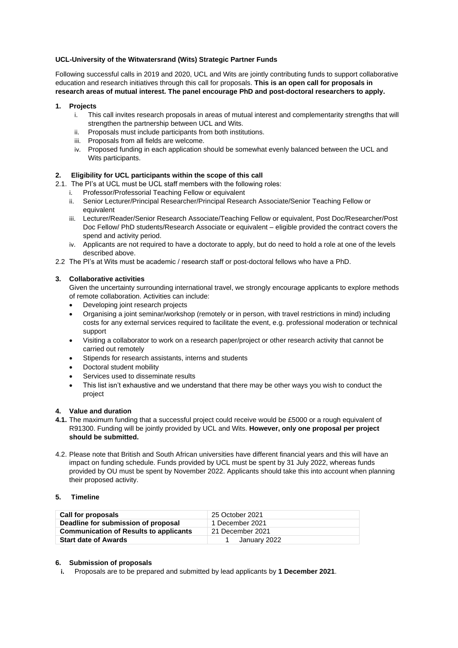### **UCL-University of the Witwatersrand (Wits) Strategic Partner Funds**

Following successful calls in 2019 and 2020, UCL and Wits are jointly contributing funds to support collaborative education and research initiatives through this call for proposals. **This is an open call for proposals in research areas of mutual interest. The panel encourage PhD and post-doctoral researchers to apply.**

### **1. Projects**

- i. This call invites research proposals in areas of mutual interest and complementarity strengths that will strengthen the partnership between UCL and Wits.
- ii. Proposals must include participants from both institutions.
- iii. Proposals from all fields are welcome.
- iv. Proposed funding in each application should be somewhat evenly balanced between the UCL and Wits participants.

### **2. Eligibility for UCL participants within the scope of this call**

- 2.1. The PI's at UCL must be UCL staff members with the following roles:
	- i. Professor/Professorial Teaching Fellow or equivalent
	- ii. Senior Lecturer/Principal Researcher/Principal Research Associate/Senior Teaching Fellow or equivalent
	- iii. Lecturer/Reader/Senior Research Associate/Teaching Fellow or equivalent, Post Doc/Researcher/Post Doc Fellow/ PhD students/Research Associate or equivalent – eligible provided the contract covers the spend and activity period.
	- iv. Applicants are not required to have a doctorate to apply, but do need to hold a role at one of the levels described above.
- 2.2 The PI's at Wits must be academic / research staff or post-doctoral fellows who have a PhD.

# **3. Collaborative activities**

Given the uncertainty surrounding international travel, we strongly encourage applicants to explore methods of remote collaboration. Activities can include:

- Developing joint research projects
- Organising a joint seminar/workshop (remotely or in person, with travel restrictions in mind) including costs for any external services required to facilitate the event, e.g. professional moderation or technical support
- Visiting a collaborator to work on a research paper/project or other research activity that cannot be carried out remotely
- Stipends for research assistants, interns and students
- Doctoral student mobility
- Services used to disseminate results
- This list isn't exhaustive and we understand that there may be other ways you wish to conduct the project

### **4. Value and duration**

- **4.1.** The maximum funding that a successful project could receive would be £5000 or a rough equivalent of R91300. Funding will be jointly provided by UCL and Wits. **However, only one proposal per project should be submitted.**
- 4.2. Please note that British and South African universities have different financial years and this will have an impact on funding schedule. Funds provided by UCL must be spent by 31 July 2022, whereas funds provided by OU must be spent by November 2022. Applicants should take this into account when planning their proposed activity.

### **5. Timeline**

| Call for proposals                            | 25 October 2021  |
|-----------------------------------------------|------------------|
| Deadline for submission of proposal           | 1 December 2021  |
| <b>Communication of Results to applicants</b> | 21 December 2021 |
| <b>Start date of Awards</b>                   | January 2022     |

### **6. Submission of proposals**

**i.** Proposals are to be prepared and submitted by lead applicants by **1 December 2021**.